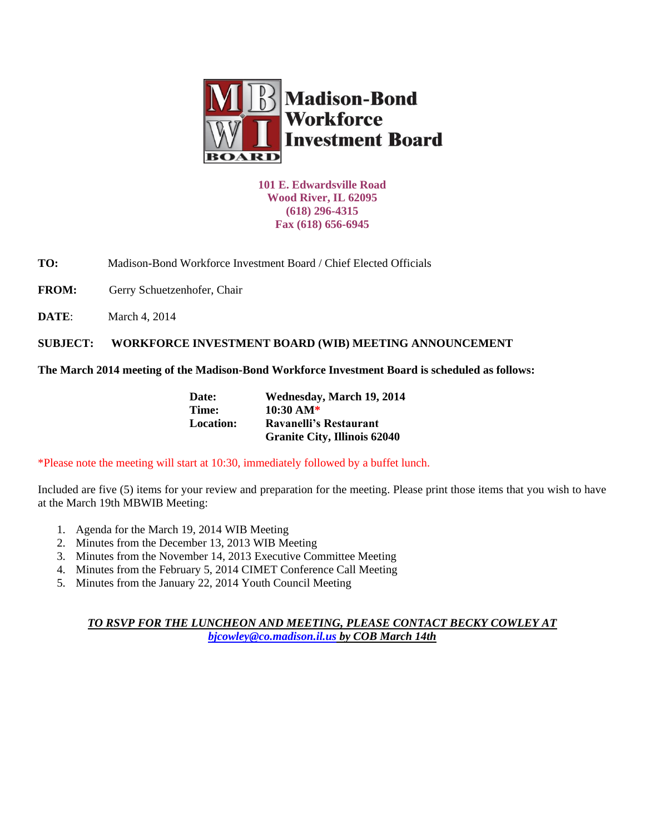

**101 E. Edwardsville Road Wood River, IL 62095 (618) 296-4315 Fax (618) 656-6945**

**TO:** Madison-Bond Workforce Investment Board / Chief Elected Officials

FROM: Gerry Schuetzenhofer, Chair

**DATE:** March 4, 2014

**SUBJECT: WORKFORCE INVESTMENT BOARD (WIB) MEETING ANNOUNCEMENT** 

**The March 2014 meeting of the Madison-Bond Workforce Investment Board is scheduled as follows:**

| Date:     | Wednesday, March 19, 2014           |  |
|-----------|-------------------------------------|--|
| Time:     | $10:30 \text{ AM*}$                 |  |
| Location: | Ravanelli's Restaurant              |  |
|           | <b>Granite City, Illinois 62040</b> |  |

\*Please note the meeting will start at 10:30, immediately followed by a buffet lunch.

Included are five (5) items for your review and preparation for the meeting. Please print those items that you wish to have at the March 19th MBWIB Meeting:

- 1. Agenda for the March 19, 2014 WIB Meeting
- 2. Minutes from the December 13, 2013 WIB Meeting
- 3. Minutes from the November 14, 2013 Executive Committee Meeting
- 4. Minutes from the February 5, 2014 CIMET Conference Call Meeting
- 5. Minutes from the January 22, 2014 Youth Council Meeting

*TO RSVP FOR THE LUNCHEON AND MEETING, PLEASE CONTACT BECKY COWLEY AT [bjcowley@co.madison.il.us](mailto:bjcowley@co.madison.il.us) by COB March 14th*